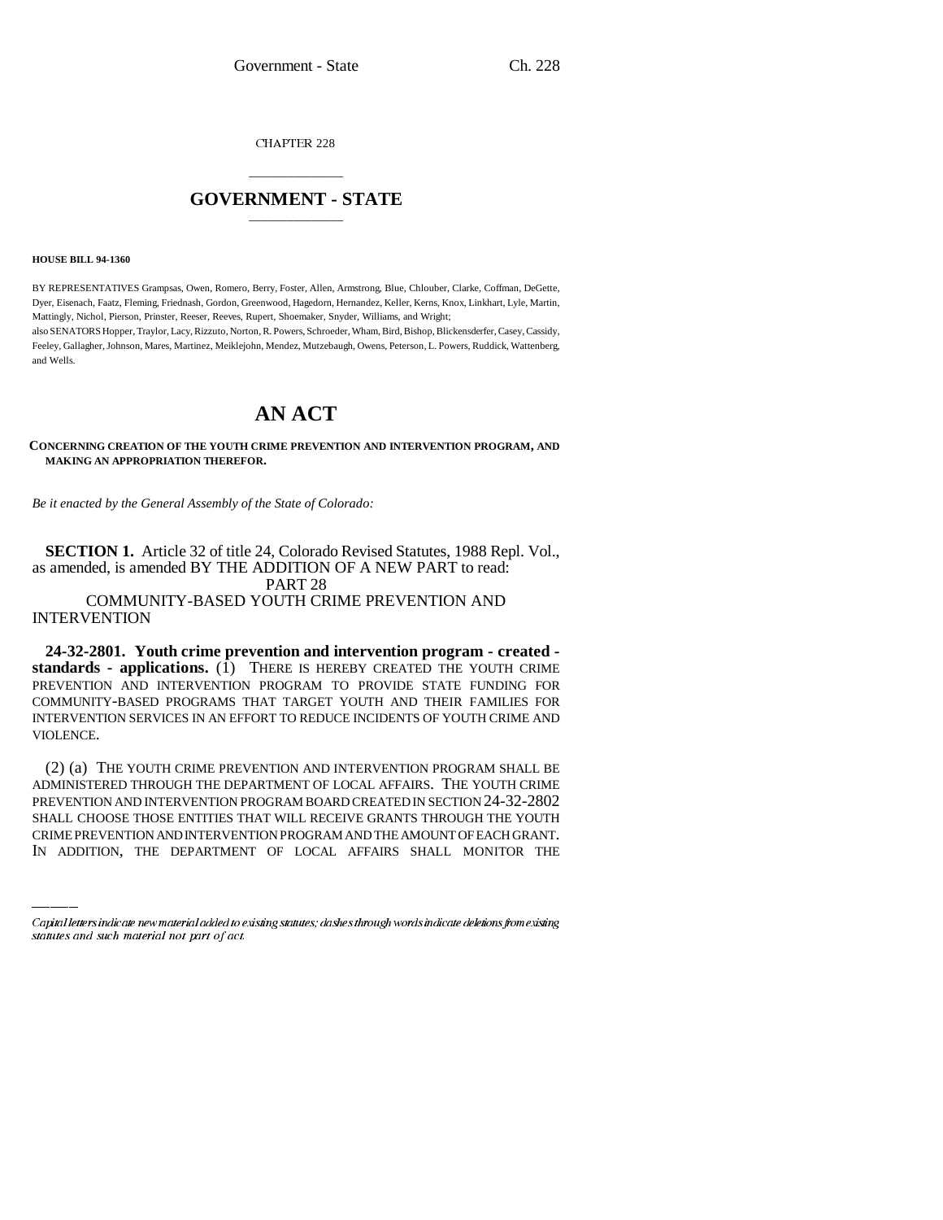CHAPTER 228

## \_\_\_\_\_\_\_\_\_\_\_\_\_\_\_ **GOVERNMENT - STATE** \_\_\_\_\_\_\_\_\_\_\_\_\_\_\_

**HOUSE BILL 94-1360**

BY REPRESENTATIVES Grampsas, Owen, Romero, Berry, Foster, Allen, Armstrong, Blue, Chlouber, Clarke, Coffman, DeGette, Dyer, Eisenach, Faatz, Fleming, Friednash, Gordon, Greenwood, Hagedorn, Hernandez, Keller, Kerns, Knox, Linkhart, Lyle, Martin, Mattingly, Nichol, Pierson, Prinster, Reeser, Reeves, Rupert, Shoemaker, Snyder, Williams, and Wright;

also SENATORS Hopper, Traylor, Lacy, Rizzuto, Norton, R. Powers, Schroeder, Wham, Bird, Bishop, Blickensderfer, Casey, Cassidy, Feeley, Gallagher, Johnson, Mares, Martinez, Meiklejohn, Mendez, Mutzebaugh, Owens, Peterson, L. Powers, Ruddick, Wattenberg, and Wells.

# **AN ACT**

#### **CONCERNING CREATION OF THE YOUTH CRIME PREVENTION AND INTERVENTION PROGRAM, AND MAKING AN APPROPRIATION THEREFOR.**

*Be it enacted by the General Assembly of the State of Colorado:*

**SECTION 1.** Article 32 of title 24, Colorado Revised Statutes, 1988 Repl. Vol., as amended, is amended BY THE ADDITION OF A NEW PART to read:

PART 28

COMMUNITY-BASED YOUTH CRIME PREVENTION AND **INTERVENTION** 

**24-32-2801. Youth crime prevention and intervention program - created**  standards - applications.  $(\overline{1})$  THERE IS HEREBY CREATED THE YOUTH CRIME PREVENTION AND INTERVENTION PROGRAM TO PROVIDE STATE FUNDING FOR COMMUNITY-BASED PROGRAMS THAT TARGET YOUTH AND THEIR FAMILIES FOR INTERVENTION SERVICES IN AN EFFORT TO REDUCE INCIDENTS OF YOUTH CRIME AND VIOLENCE.

ADMINISTERED THROUGH THE DEPARTMENT OF LOCAL AFFAIRS. I HE YOUTH CRIME<br>PREVENTION AND INTERVENTION PROGRAM BOARD CREATED IN SECTION 24-32-2802 (2) (a) THE YOUTH CRIME PREVENTION AND INTERVENTION PROGRAM SHALL BE ADMINISTERED THROUGH THE DEPARTMENT OF LOCAL AFFAIRS. THE YOUTH CRIME SHALL CHOOSE THOSE ENTITIES THAT WILL RECEIVE GRANTS THROUGH THE YOUTH CRIME PREVENTION AND INTERVENTION PROGRAM AND THE AMOUNT OF EACH GRANT. IN ADDITION, THE DEPARTMENT OF LOCAL AFFAIRS SHALL MONITOR THE

Capital letters indicate new material added to existing statutes; dashes through words indicate deletions from existing statutes and such material not part of act.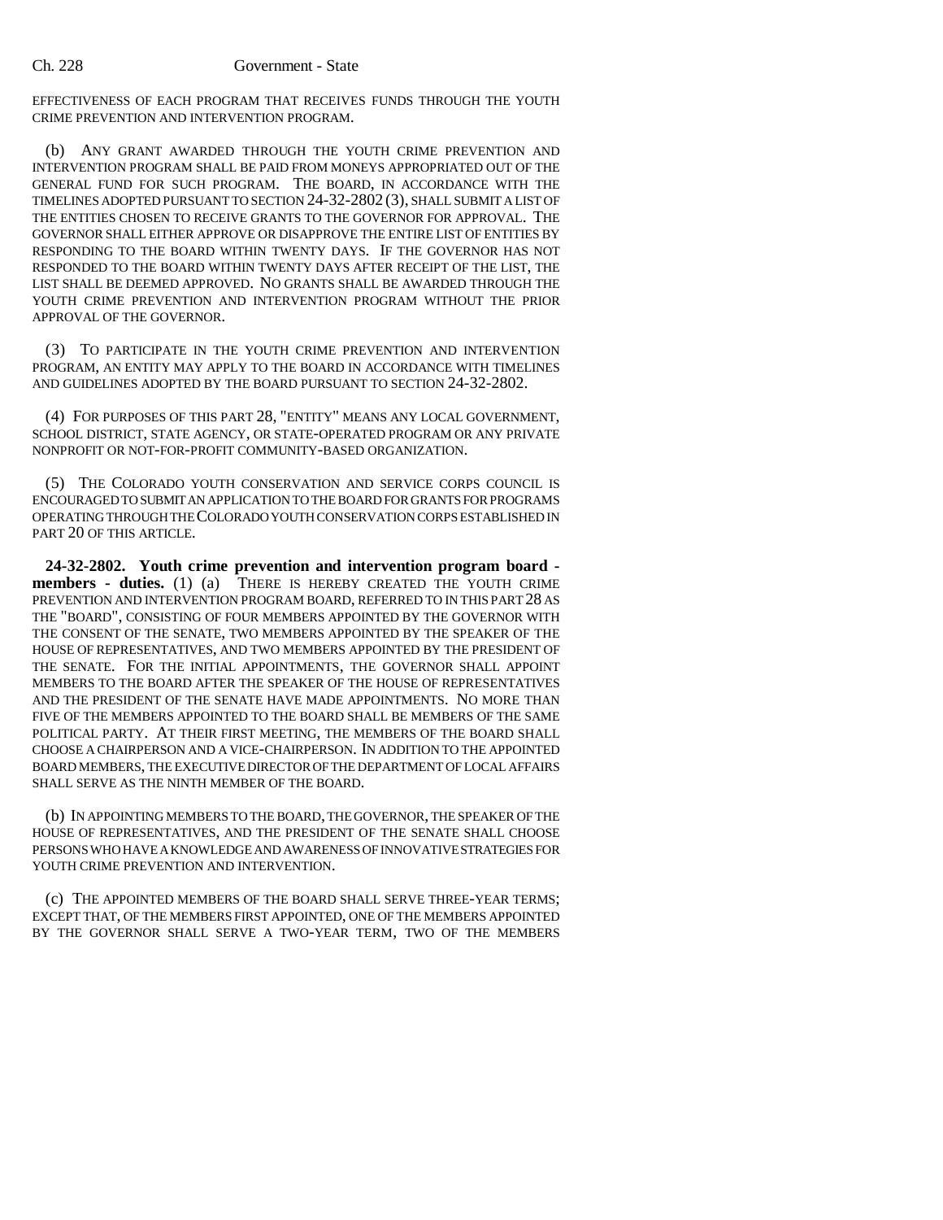EFFECTIVENESS OF EACH PROGRAM THAT RECEIVES FUNDS THROUGH THE YOUTH CRIME PREVENTION AND INTERVENTION PROGRAM.

(b) ANY GRANT AWARDED THROUGH THE YOUTH CRIME PREVENTION AND INTERVENTION PROGRAM SHALL BE PAID FROM MONEYS APPROPRIATED OUT OF THE GENERAL FUND FOR SUCH PROGRAM. THE BOARD, IN ACCORDANCE WITH THE TIMELINES ADOPTED PURSUANT TO SECTION 24-32-2802 (3), SHALL SUBMIT A LIST OF THE ENTITIES CHOSEN TO RECEIVE GRANTS TO THE GOVERNOR FOR APPROVAL. THE GOVERNOR SHALL EITHER APPROVE OR DISAPPROVE THE ENTIRE LIST OF ENTITIES BY RESPONDING TO THE BOARD WITHIN TWENTY DAYS. IF THE GOVERNOR HAS NOT RESPONDED TO THE BOARD WITHIN TWENTY DAYS AFTER RECEIPT OF THE LIST, THE LIST SHALL BE DEEMED APPROVED. NO GRANTS SHALL BE AWARDED THROUGH THE YOUTH CRIME PREVENTION AND INTERVENTION PROGRAM WITHOUT THE PRIOR APPROVAL OF THE GOVERNOR.

(3) TO PARTICIPATE IN THE YOUTH CRIME PREVENTION AND INTERVENTION PROGRAM, AN ENTITY MAY APPLY TO THE BOARD IN ACCORDANCE WITH TIMELINES AND GUIDELINES ADOPTED BY THE BOARD PURSUANT TO SECTION 24-32-2802.

(4) FOR PURPOSES OF THIS PART 28, "ENTITY" MEANS ANY LOCAL GOVERNMENT, SCHOOL DISTRICT, STATE AGENCY, OR STATE-OPERATED PROGRAM OR ANY PRIVATE NONPROFIT OR NOT-FOR-PROFIT COMMUNITY-BASED ORGANIZATION.

(5) THE COLORADO YOUTH CONSERVATION AND SERVICE CORPS COUNCIL IS ENCOURAGED TO SUBMIT AN APPLICATION TO THE BOARD FOR GRANTS FOR PROGRAMS OPERATING THROUGH THE COLORADO YOUTH CONSERVATION CORPS ESTABLISHED IN PART 20 OF THIS ARTICLE.

**24-32-2802. Youth crime prevention and intervention program board members - duties.** (1) (a) THERE IS HEREBY CREATED THE YOUTH CRIME PREVENTION AND INTERVENTION PROGRAM BOARD, REFERRED TO IN THIS PART 28 AS THE "BOARD", CONSISTING OF FOUR MEMBERS APPOINTED BY THE GOVERNOR WITH THE CONSENT OF THE SENATE, TWO MEMBERS APPOINTED BY THE SPEAKER OF THE HOUSE OF REPRESENTATIVES, AND TWO MEMBERS APPOINTED BY THE PRESIDENT OF THE SENATE. FOR THE INITIAL APPOINTMENTS, THE GOVERNOR SHALL APPOINT MEMBERS TO THE BOARD AFTER THE SPEAKER OF THE HOUSE OF REPRESENTATIVES AND THE PRESIDENT OF THE SENATE HAVE MADE APPOINTMENTS. NO MORE THAN FIVE OF THE MEMBERS APPOINTED TO THE BOARD SHALL BE MEMBERS OF THE SAME POLITICAL PARTY. AT THEIR FIRST MEETING, THE MEMBERS OF THE BOARD SHALL CHOOSE A CHAIRPERSON AND A VICE-CHAIRPERSON. IN ADDITION TO THE APPOINTED BOARD MEMBERS, THE EXECUTIVE DIRECTOR OF THE DEPARTMENT OF LOCAL AFFAIRS SHALL SERVE AS THE NINTH MEMBER OF THE BOARD.

(b) IN APPOINTING MEMBERS TO THE BOARD, THE GOVERNOR, THE SPEAKER OF THE HOUSE OF REPRESENTATIVES, AND THE PRESIDENT OF THE SENATE SHALL CHOOSE PERSONS WHO HAVE A KNOWLEDGE AND AWARENESS OF INNOVATIVE STRATEGIES FOR YOUTH CRIME PREVENTION AND INTERVENTION.

(c) THE APPOINTED MEMBERS OF THE BOARD SHALL SERVE THREE-YEAR TERMS; EXCEPT THAT, OF THE MEMBERS FIRST APPOINTED, ONE OF THE MEMBERS APPOINTED BY THE GOVERNOR SHALL SERVE A TWO-YEAR TERM, TWO OF THE MEMBERS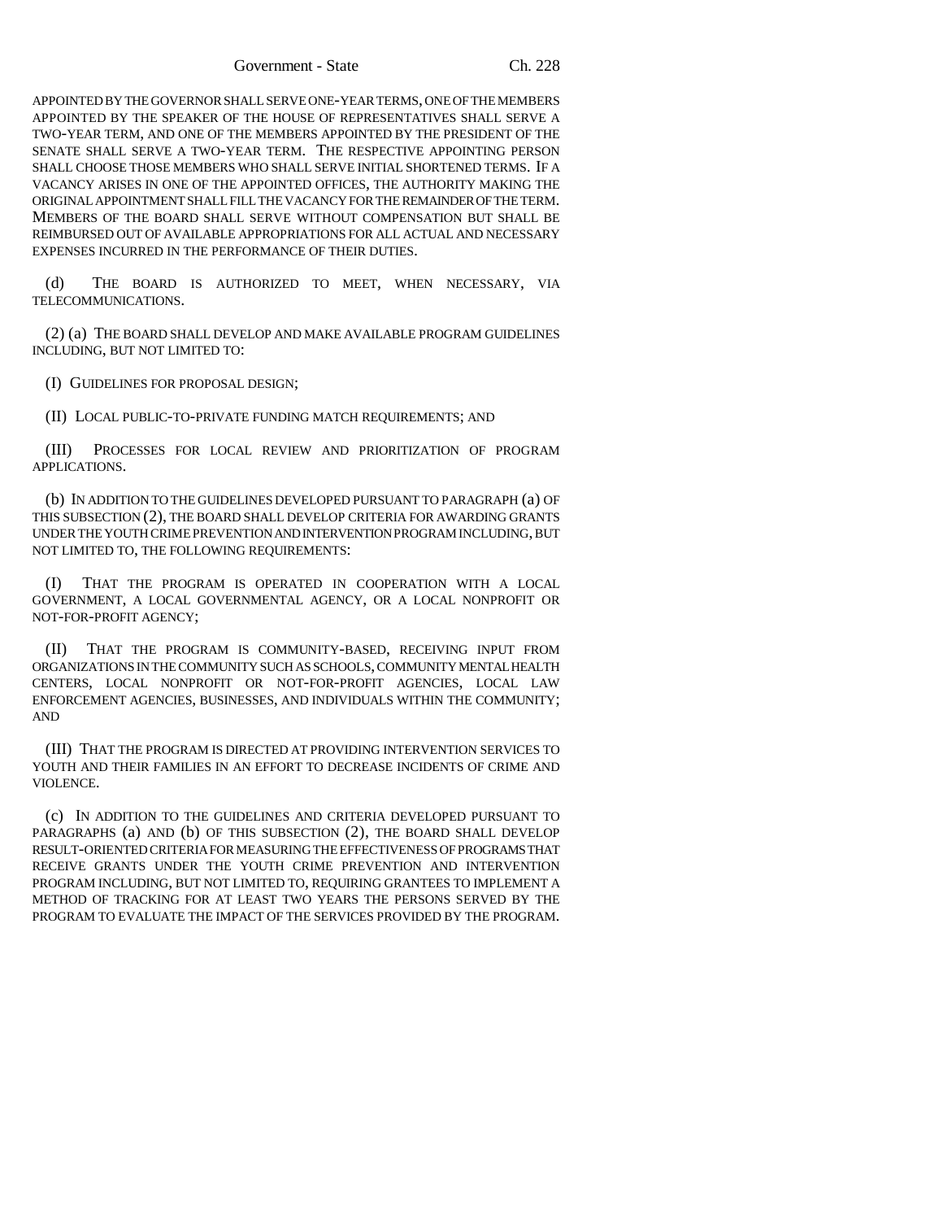Government - State Ch. 228

APPOINTED BY THE GOVERNOR SHALL SERVE ONE-YEAR TERMS, ONE OF THE MEMBERS APPOINTED BY THE SPEAKER OF THE HOUSE OF REPRESENTATIVES SHALL SERVE A TWO-YEAR TERM, AND ONE OF THE MEMBERS APPOINTED BY THE PRESIDENT OF THE SENATE SHALL SERVE A TWO-YEAR TERM. THE RESPECTIVE APPOINTING PERSON SHALL CHOOSE THOSE MEMBERS WHO SHALL SERVE INITIAL SHORTENED TERMS. IF A VACANCY ARISES IN ONE OF THE APPOINTED OFFICES, THE AUTHORITY MAKING THE ORIGINAL APPOINTMENT SHALL FILL THE VACANCY FOR THE REMAINDER OF THE TERM. MEMBERS OF THE BOARD SHALL SERVE WITHOUT COMPENSATION BUT SHALL BE REIMBURSED OUT OF AVAILABLE APPROPRIATIONS FOR ALL ACTUAL AND NECESSARY EXPENSES INCURRED IN THE PERFORMANCE OF THEIR DUTIES.

(d) THE BOARD IS AUTHORIZED TO MEET, WHEN NECESSARY, VIA TELECOMMUNICATIONS.

(2) (a) THE BOARD SHALL DEVELOP AND MAKE AVAILABLE PROGRAM GUIDELINES INCLUDING, BUT NOT LIMITED TO:

(I) GUIDELINES FOR PROPOSAL DESIGN;

(II) LOCAL PUBLIC-TO-PRIVATE FUNDING MATCH REQUIREMENTS; AND

(III) PROCESSES FOR LOCAL REVIEW AND PRIORITIZATION OF PROGRAM APPLICATIONS.

(b) IN ADDITION TO THE GUIDELINES DEVELOPED PURSUANT TO PARAGRAPH (a) OF THIS SUBSECTION (2), THE BOARD SHALL DEVELOP CRITERIA FOR AWARDING GRANTS UNDER THE YOUTH CRIME PREVENTION AND INTERVENTION PROGRAM INCLUDING, BUT NOT LIMITED TO, THE FOLLOWING REQUIREMENTS:

(I) THAT THE PROGRAM IS OPERATED IN COOPERATION WITH A LOCAL GOVERNMENT, A LOCAL GOVERNMENTAL AGENCY, OR A LOCAL NONPROFIT OR NOT-FOR-PROFIT AGENCY;

(II) THAT THE PROGRAM IS COMMUNITY-BASED, RECEIVING INPUT FROM ORGANIZATIONS IN THE COMMUNITY SUCH AS SCHOOLS, COMMUNITY MENTAL HEALTH CENTERS, LOCAL NONPROFIT OR NOT-FOR-PROFIT AGENCIES, LOCAL LAW ENFORCEMENT AGENCIES, BUSINESSES, AND INDIVIDUALS WITHIN THE COMMUNITY; AND

(III) THAT THE PROGRAM IS DIRECTED AT PROVIDING INTERVENTION SERVICES TO YOUTH AND THEIR FAMILIES IN AN EFFORT TO DECREASE INCIDENTS OF CRIME AND VIOLENCE.

(c) IN ADDITION TO THE GUIDELINES AND CRITERIA DEVELOPED PURSUANT TO PARAGRAPHS (a) AND (b) OF THIS SUBSECTION (2), THE BOARD SHALL DEVELOP RESULT-ORIENTED CRITERIA FOR MEASURING THE EFFECTIVENESS OF PROGRAMS THAT RECEIVE GRANTS UNDER THE YOUTH CRIME PREVENTION AND INTERVENTION PROGRAM INCLUDING, BUT NOT LIMITED TO, REQUIRING GRANTEES TO IMPLEMENT A METHOD OF TRACKING FOR AT LEAST TWO YEARS THE PERSONS SERVED BY THE PROGRAM TO EVALUATE THE IMPACT OF THE SERVICES PROVIDED BY THE PROGRAM.